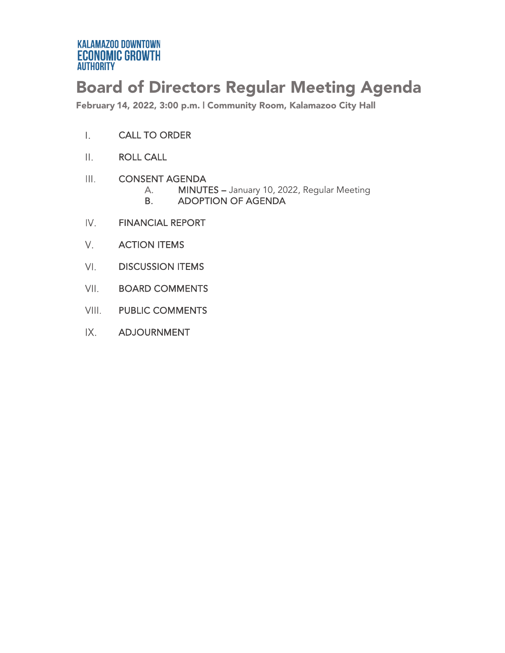# Board of Directors Regular Meeting Agenda

February 14, 2022, 3:00 p.m. | Community Room, Kalamazoo City Hall

- $\mathsf{L}$ CALL TO ORDER
- ROLL CALL  $\prod_{i=1}^n$
- $III.$ CONSENT AGENDA
	- A. MINUTES January 10, 2022, Regular Meeting<br>B. ADOPTION OF AGENDA
	- ADOPTION OF AGENDA
- IV. FINANCIAL REPORT
- V. ACTION ITEMS
- $VI.$ DISCUSSION ITEMS
- VII. BOARD COMMENTS
- VIII. PUBLIC COMMENTS
- $IX.$ ADJOURNMENT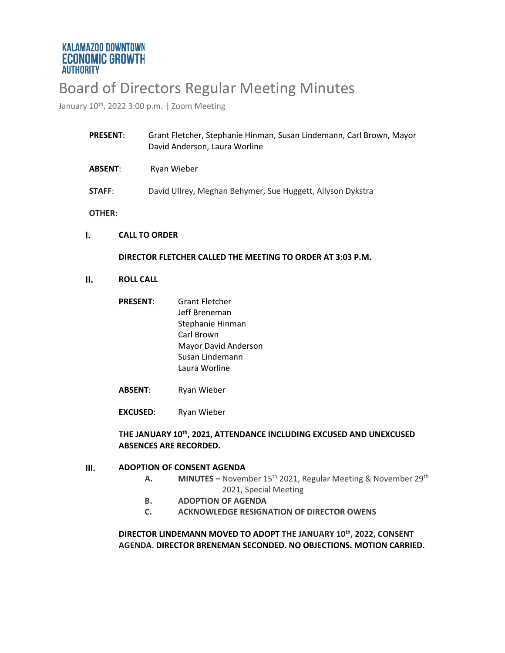# Board of Directors Regular Meeting Minutes

January 10<sup>th</sup>, 2022 3:00 p.m. | Zoom Meeting

| <b>PRESENT:</b> |                                                            | Grant Fletcher, Stephanie Hinman, Susan Lindemann, Carl Brown, Mayor<br>David Anderson, Laura Worline |  |
|-----------------|------------------------------------------------------------|-------------------------------------------------------------------------------------------------------|--|
| <b>ABSENT:</b>  |                                                            | Ryan Wieber                                                                                           |  |
| STAFF:          |                                                            | David Ullrey, Meghan Behymer, Sue Huggett, Allyson Dykstra                                            |  |
| OTHER:          |                                                            |                                                                                                       |  |
|                 | <b>CALL TO ORDER</b>                                       |                                                                                                       |  |
|                 | DIRECTOR FLETCHER CALLED THE MEETING TO ORDER AT 3:03 P.M. |                                                                                                       |  |
| Ш.              | <b>ROLL CALL</b>                                           |                                                                                                       |  |

- **PRESENT**: Grant Fletcher Jeff Breneman Stephanie Hinman Carl Brown Mayor David Anderson Susan Lindemann Laura Worline
- **ABSENT**: Ryan Wieber
- **EXCUSED**: Ryan Wieber

### **THE JANUARY 10th, 2021, ATTENDANCE INCLUDING EXCUSED AND UNEXCUSED ABSENCES ARE RECORDED.**

#### $III.$ **ADOPTION OF CONSENT AGENDA**

- **A. MINUTES** November 15<sup>th</sup> 2021, Regular Meeting & November 29<sup>th</sup> 2021, Special Meeting
- **B. ADOPTION OF AGENDA**
- **C. ACKNOWLEDGE RESIGNATION OF DIRECTOR OWENS**

### **DIRECTOR LINDEMANN MOVED TO ADOPT THE JANUARY 10th, 2022, CONSENT AGENDA. DIRECTOR BRENEMAN SECONDED. NO OBJECTIONS. MOTION CARRIED.**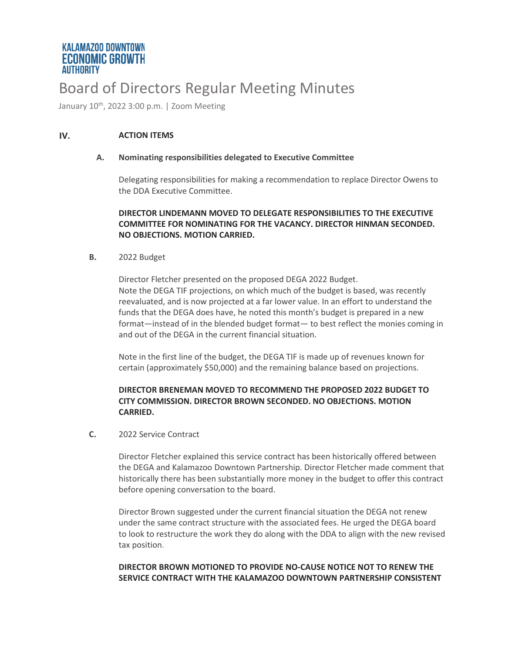# Board of Directors Regular Meeting Minutes

January 10<sup>th</sup>, 2022 3:00 p.m. | Zoom Meeting

#### IV. **ACTION ITEMS**

#### **A. Nominating responsibilities delegated to Executive Committee**

Delegating responsibilities for making a recommendation to replace Director Owens to the DDA Executive Committee.

### **DIRECTOR LINDEMANN MOVED TO DELEGATE RESPONSIBILITIES TO THE EXECUTIVE COMMITTEE FOR NOMINATING FOR THE VACANCY. DIRECTOR HINMAN SECONDED. NO OBJECTIONS. MOTION CARRIED.**

#### **B.** 2022 Budget

Director Fletcher presented on the proposed DEGA 2022 Budget. Note the DEGA TIF projections, on which much of the budget is based, was recently reevaluated, and is now projected at a far lower value. In an effort to understand the funds that the DEGA does have, he noted this month's budget is prepared in a new format—instead of in the blended budget format— to best reflect the monies coming in and out of the DEGA in the current financial situation.

Note in the first line of the budget, the DEGA TIF is made up of revenues known for certain (approximately \$50,000) and the remaining balance based on projections.

#### **DIRECTOR BRENEMAN MOVED TO RECOMMEND THE PROPOSED 2022 BUDGET TO CITY COMMISSION. DIRECTOR BROWN SECONDED. NO OBJECTIONS. MOTION CARRIED.**

#### **C.** 2022 Service Contract

Director Fletcher explained this service contract has been historically offered between the DEGA and Kalamazoo Downtown Partnership. Director Fletcher made comment that historically there has been substantially more money in the budget to offer this contract before opening conversation to the board.

Director Brown suggested under the current financial situation the DEGA not renew under the same contract structure with the associated fees. He urged the DEGA board to look to restructure the work they do along with the DDA to align with the new revised tax position.

### **DIRECTOR BROWN MOTIONED TO PROVIDE NO-CAUSE NOTICE NOT TO RENEW THE SERVICE CONTRACT WITH THE KALAMAZOO DOWNTOWN PARTNERSHIP CONSISTENT**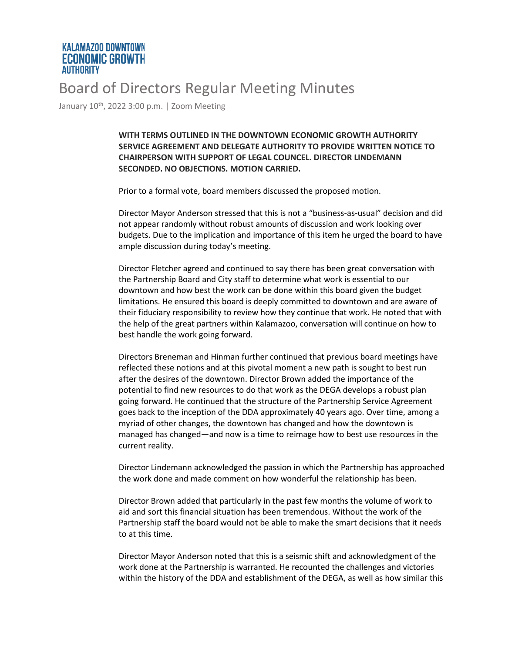### **KALAMAZOO DOWNTOWN ECONOMIC GROWTH AUTHORITY**

# Board of Directors Regular Meeting Minutes

January 10<sup>th</sup>, 2022 3:00 p.m. | Zoom Meeting

**WITH TERMS OUTLINED IN THE DOWNTOWN ECONOMIC GROWTH AUTHORITY SERVICE AGREEMENT AND DELEGATE AUTHORITY TO PROVIDE WRITTEN NOTICE TO CHAIRPERSON WITH SUPPORT OF LEGAL COUNCEL. DIRECTOR LINDEMANN SECONDED. NO OBJECTIONS. MOTION CARRIED.** 

Prior to a formal vote, board members discussed the proposed motion.

Director Mayor Anderson stressed that this is not a "business-as-usual" decision and did not appear randomly without robust amounts of discussion and work looking over budgets. Due to the implication and importance of this item he urged the board to have ample discussion during today's meeting.

Director Fletcher agreed and continued to say there has been great conversation with the Partnership Board and City staff to determine what work is essential to our downtown and how best the work can be done within this board given the budget limitations. He ensured this board is deeply committed to downtown and are aware of their fiduciary responsibility to review how they continue that work. He noted that with the help of the great partners within Kalamazoo, conversation will continue on how to best handle the work going forward.

Directors Breneman and Hinman further continued that previous board meetings have reflected these notions and at this pivotal moment a new path is sought to best run after the desires of the downtown. Director Brown added the importance of the potential to find new resources to do that work as the DEGA develops a robust plan going forward. He continued that the structure of the Partnership Service Agreement goes back to the inception of the DDA approximately 40 years ago. Over time, among a myriad of other changes, the downtown has changed and how the downtown is managed has changed—and now is a time to reimage how to best use resources in the current reality.

Director Lindemann acknowledged the passion in which the Partnership has approached the work done and made comment on how wonderful the relationship has been.

Director Brown added that particularly in the past few months the volume of work to aid and sort this financial situation has been tremendous. Without the work of the Partnership staff the board would not be able to make the smart decisions that it needs to at this time.

Director Mayor Anderson noted that this is a seismic shift and acknowledgment of the work done at the Partnership is warranted. He recounted the challenges and victories within the history of the DDA and establishment of the DEGA, as well as how similar this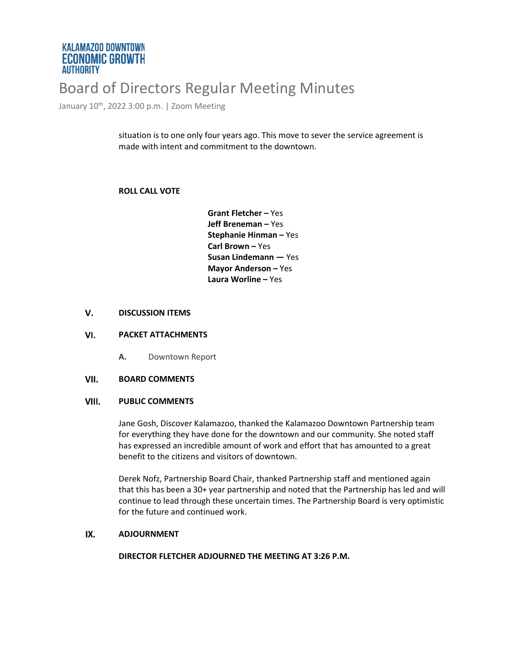### **KALAMAZOO DOWNTOWN ECONOMIC GROWTH AUTHORITY**

# Board of Directors Regular Meeting Minutes

January 10<sup>th</sup>, 2022 3:00 p.m. | Zoom Meeting

situation is to one only four years ago. This move to sever the service agreement is made with intent and commitment to the downtown.

#### **ROLL CALL VOTE**

**Grant Fletcher –** Yes **Jeff Breneman –** Yes **Stephanie Hinman –** Yes **Carl Brown –** Yes **Susan Lindemann —** Yes **Mayor Anderson –** Yes **Laura Worline –** Yes

#### V. **DISCUSSION ITEMS**

#### VI. **PACKET ATTACHMENTS**

**A.** Downtown Report

#### VII. **BOARD COMMENTS**

#### VIII. **PUBLIC COMMENTS**

Jane Gosh, Discover Kalamazoo, thanked the Kalamazoo Downtown Partnership team for everything they have done for the downtown and our community. She noted staff has expressed an incredible amount of work and effort that has amounted to a great benefit to the citizens and visitors of downtown.

Derek Nofz, Partnership Board Chair, thanked Partnership staff and mentioned again that this has been a 30+ year partnership and noted that the Partnership has led and will continue to lead through these uncertain times. The Partnership Board is very optimistic for the future and continued work.

#### IX. **ADJOURNMENT**

**DIRECTOR FLETCHER ADJOURNED THE MEETING AT 3:26 P.M.**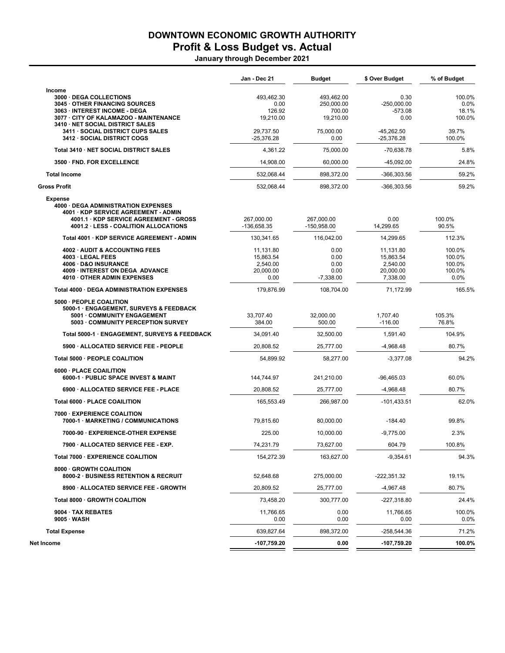## DOWNTOWN ECONOMIC GROWTH AUTHORITY

## Profit & Loss Budget vs. Actual

January through December 2021

|                                                                                                                                                                            | Jan - Dec 21                                            | <b>Budget</b>                               | \$ Over Budget                                              | % of Budget                                  |
|----------------------------------------------------------------------------------------------------------------------------------------------------------------------------|---------------------------------------------------------|---------------------------------------------|-------------------------------------------------------------|----------------------------------------------|
| Income<br>3000 · DEGA COLLECTIONS<br>3045 OTHER FINANCING SOURCES                                                                                                          | 493,462.30<br>0.00                                      | 493.462.00<br>250,000.00                    | 0.30<br>$-250,000.00$                                       | 100.0%<br>0.0%                               |
| 3063 · INTEREST INCOME - DEGA<br>3077 · CITY OF KALAMAZOO - MAINTENANCE<br>3410 · NET SOCIAL DISTRICT SALES                                                                | 126.92<br>19,210.00                                     | 700.00<br>19,210.00                         | $-573.08$<br>0.00                                           | 18.1%<br>100.0%                              |
| 3411 · SOCIAL DISTRICT CUPS SALES<br>3412 · SOCIAL DISTRICT COGS                                                                                                           | 29,737.50<br>$-25,376.28$                               | 75,000.00<br>0.00                           | $-45,262.50$<br>$-25,376.28$                                | 39.7%<br>100.0%                              |
| Total 3410 · NET SOCIAL DISTRICT SALES                                                                                                                                     | 4,361.22                                                | 75,000.00                                   | $-70,638.78$                                                | 5.8%                                         |
| 3500 FND. FOR EXCELLENCE                                                                                                                                                   | 14,908.00                                               | 60,000.00                                   | $-45,092.00$                                                | 24.8%                                        |
| <b>Total Income</b>                                                                                                                                                        | 532,068.44                                              | 898,372.00                                  | -366,303.56                                                 | 59.2%                                        |
| <b>Gross Profit</b>                                                                                                                                                        | 532,068.44                                              | 898,372.00                                  | -366,303.56                                                 | 59.2%                                        |
| <b>Expense</b><br>4000 · DEGA ADMINISTRATION EXPENSES<br>4001 KDP SERVICE AGREEMENT - ADMIN<br>4001.1 KDP SERVICE AGREEMENT - GROSS<br>4001.2 LESS - COALITION ALLOCATIONS | 267,000.00<br>-136,658.35                               | 267,000.00<br>$-150,958.00$                 | 0.00<br>14,299.65                                           | 100.0%<br>90.5%                              |
| Total 4001 · KDP SERVICE AGREEMENT - ADMIN                                                                                                                                 | 130.341.65                                              | 116,042.00                                  | 14,299.65                                                   | 112.3%                                       |
| 4002 AUDIT & ACCOUNTING FEES<br>4003 · LEGAL FEES<br>4006 D&O INSURANCE<br>4009 INTEREST ON DEGA ADVANCE<br>4010 OTHER ADMIN EXPENSES                                      | 11,131.80<br>15,863.54<br>2,540.00<br>20,000.00<br>0.00 | 0.00<br>0.00<br>0.00<br>0.00<br>$-7.338.00$ | 11,131.80<br>15,863.54<br>2,540.00<br>20,000.00<br>7,338.00 | 100.0%<br>100.0%<br>100.0%<br>100.0%<br>0.0% |
| Total 4000 · DEGA ADMINISTRATION EXPENSES                                                                                                                                  | 179.876.99                                              | 108.704.00                                  | 71.172.99                                                   | 165.5%                                       |
| 5000 - PEOPLE COALITION<br>5000-1 · ENGAGEMENT, SURVEYS & FEEDBACK<br>5001 COMMUNITY ENGAGEMENT<br>5003 · COMMUNITY PERCEPTION SURVEY                                      | 33,707.40<br>384.00                                     | 32,000.00<br>500.00                         | 1,707.40<br>$-116.00$                                       | 105.3%<br>76.8%                              |
| Total 5000-1 · ENGAGEMENT, SURVEYS & FEEDBACK                                                                                                                              | 34,091.40                                               | 32,500.00                                   | 1,591.40                                                    | 104.9%                                       |
| 5900 · ALLOCATED SERVICE FEE - PEOPLE                                                                                                                                      | 20,808.52                                               | 25,777.00                                   | $-4,968.48$                                                 | 80.7%                                        |
| Total 5000 · PEOPLE COALITION                                                                                                                                              | 54,899.92                                               | 58,277.00                                   | $-3,377.08$                                                 | 94.2%                                        |
| 6000 · PLACE COAILITION<br>6000-1 · PUBLIC SPACE INVEST & MAINT                                                                                                            | 144,744.97                                              | 241,210.00                                  | $-96,465.03$                                                | 60.0%                                        |
| 6900 · ALLOCATED SERVICE FEE - PLACE                                                                                                                                       | 20,808.52                                               | 25,777.00                                   | -4,968.48                                                   | 80.7%                                        |
| Total 6000 · PLACE COAILITION                                                                                                                                              | 165,553.49                                              | 266,987.00                                  | -101,433.51                                                 | 62.0%                                        |
| 7000 EXPERIENCE COALITION<br>7000-1 · MARKETING / COMMUNICATIONS                                                                                                           | 79,815.60                                               | 80,000.00                                   | $-184.40$                                                   | 99.8%                                        |
| 7000-90 · EXPERIENCE-OTHER EXPENSE                                                                                                                                         | 225.00                                                  | 10,000.00                                   | $-9,775.00$                                                 | 2.3%                                         |
| 7900 · ALLOCATED SERVICE FEE - EXP.                                                                                                                                        | 74,231.79                                               | 73,627.00                                   | 604.79                                                      | 100.8%                                       |
| Total 7000 · EXPERIENCE COALITION                                                                                                                                          | 154,272.39                                              | 163,627.00                                  | $-9,354.61$                                                 | 94.3%                                        |
| 8000 GROWTH COALITION<br>8000-2 · BUSINESS RETENTION & RECRUIT                                                                                                             | 52,648.68                                               | 275,000.00                                  | -222,351.32                                                 | 19.1%                                        |
| 8900 · ALLOCATED SERVICE FEE - GROWTH                                                                                                                                      | 20,809.52                                               | 25,777.00                                   | -4,967.48                                                   | 80.7%                                        |
| Total 8000 · GROWTH COALITION                                                                                                                                              | 73,458.20                                               | 300,777.00                                  | -227,318.80                                                 | 24.4%                                        |
| 9004 · TAX REBATES<br>$9005 \cdot \text{WASH}$                                                                                                                             | 11,766.65<br>0.00                                       | 0.00<br>0.00                                | 11,766.65<br>0.00                                           | 100.0%<br>$0.0\%$                            |
| <b>Total Expense</b>                                                                                                                                                       | 639,827.64                                              | 898,372.00                                  | -258,544.36                                                 | 71.2%                                        |
| Net Income                                                                                                                                                                 | -107,759.20                                             | 0.00                                        | -107,759.20                                                 | 100.0%                                       |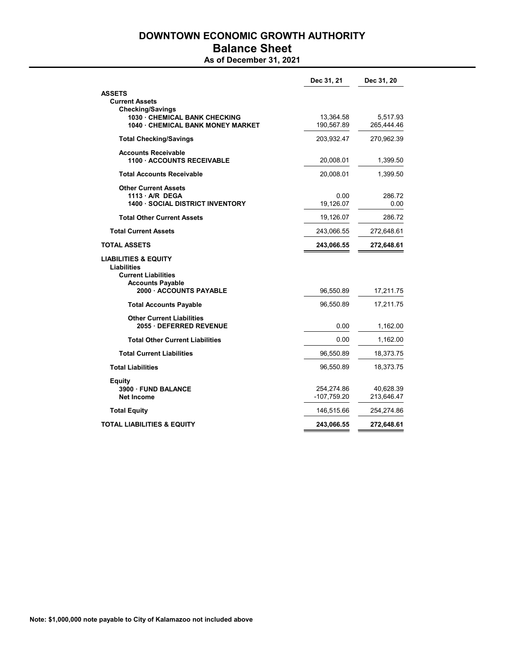# DOWNTOWN ECONOMIC GROWTH AUTHORITY Balance Sheet

## As of December 31, 2021

|                                                                                                                | Dec 31, 21                | Dec 31, 20              |
|----------------------------------------------------------------------------------------------------------------|---------------------------|-------------------------|
| <b>ASSETS</b><br><b>Current Assets</b><br><b>Checking/Savings</b>                                              |                           |                         |
| 1030 CHEMICAL BANK CHECKING<br><b>1040 CHEMICAL BANK MONEY MARKET</b>                                          | 13,364.58<br>190,567.89   | 5,517.93<br>265,444.46  |
| <b>Total Checking/Savings</b>                                                                                  | 203,932.47                | 270,962.39              |
| <b>Accounts Receivable</b><br><b>1100 ACCOUNTS RECEIVABLE</b>                                                  | 20,008.01                 | 1,399.50                |
| <b>Total Accounts Receivable</b>                                                                               | 20,008.01                 | 1,399.50                |
| <b>Other Current Assets</b><br>1113 A/R DEGA<br><b>1400 · SOCIAL DISTRICT INVENTORY</b>                        | 0.00<br>19,126.07         | 286.72<br>0.00          |
| <b>Total Other Current Assets</b>                                                                              | 19,126.07                 | 286.72                  |
| <b>Total Current Assets</b>                                                                                    | 243,066.55                | 272,648.61              |
| <b>TOTAL ASSETS</b>                                                                                            | 243,066.55                | 272,648.61              |
| <b>LIABILITIES &amp; EQUITY</b><br><b>Liabilities</b><br><b>Current Liabilities</b><br><b>Accounts Payable</b> |                           |                         |
| 2000 ACCOUNTS PAYABLE                                                                                          | 96,550.89                 | 17,211.75               |
| <b>Total Accounts Payable</b>                                                                                  | 96,550.89                 | 17,211.75               |
| <b>Other Current Liabilities</b><br>2055 DEFERRED REVENUE                                                      | 0.00                      | 1,162.00                |
| <b>Total Other Current Liabilities</b>                                                                         | 0.00                      | 1,162.00                |
| <b>Total Current Liabilities</b>                                                                               | 96,550.89                 | 18,373.75               |
| <b>Total Liabilities</b>                                                                                       | 96,550.89                 | 18,373.75               |
| Equity<br>3900 FUND BALANCE<br>Net Income                                                                      | 254,274.86<br>-107,759.20 | 40,628.39<br>213,646.47 |
| <b>Total Equity</b>                                                                                            | 146,515.66                | 254,274.86              |
| <b>TOTAL LIABILITIES &amp; EQUITY</b>                                                                          | 243,066.55                | 272,648.61              |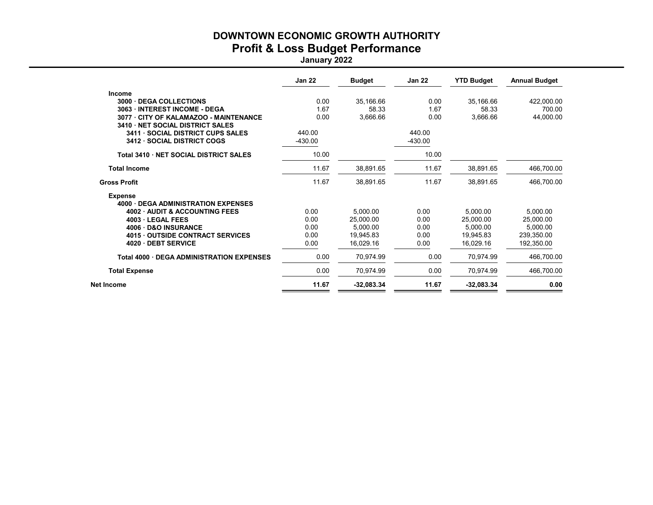## DOWNTOWN ECONOMIC GROWTH AUTHORITY Profit & Loss Budget Performance

January 2022

|                                                  | <b>Jan 22</b> | <b>Budget</b> | <b>Jan 22</b> | <b>YTD Budget</b> | <b>Annual Budget</b> |
|--------------------------------------------------|---------------|---------------|---------------|-------------------|----------------------|
| <b>Income</b>                                    |               |               |               |                   |                      |
| 3000<br><b>DEGA COLLECTIONS</b>                  | 0.00          | 35,166.66     | 0.00          | 35,166.66         | 422,000.00           |
| 3063 INTEREST INCOME - DEGA                      | 1.67          | 58.33         | 1.67          | 58.33             | 700.00               |
| 3077 CITY OF KALAMAZOO - MAINTENANCE             | 0.00          | 3,666.66      | 0.00          | 3,666.66          | 44,000.00            |
| 3410 NET SOCIAL DISTRICT SALES                   |               |               |               |                   |                      |
| 3411 · SOCIAL DISTRICT CUPS SALES                | 440.00        |               | 440.00        |                   |                      |
| 3412 · SOCIAL DISTRICT COGS                      | -430.00       |               | $-430.00$     |                   |                      |
| Total 3410 · NET SOCIAL DISTRICT SALES           | 10.00         |               | 10.00         |                   |                      |
| <b>Total Income</b>                              | 11.67         | 38,891.65     | 11.67         | 38,891.65         | 466,700.00           |
| <b>Gross Profit</b>                              | 11.67         | 38,891.65     | 11.67         | 38,891.65         | 466,700.00           |
| <b>Expense</b>                                   |               |               |               |                   |                      |
| <b>4000 DEGA ADMINISTRATION EXPENSES</b>         |               |               |               |                   |                      |
| <b>4002 AUDIT &amp; ACCOUNTING FEES</b>          | 0.00          | 5.000.00      | 0.00          | 5.000.00          | 5,000.00             |
| 4003 LEGAL FEES                                  | 0.00          | 25,000.00     | 0.00          | 25.000.00         | 25.000.00            |
| <b>D&amp;O INSURANCE</b><br>4006                 | 0.00          | 5,000.00      | 0.00          | 5.000.00          | 5.000.00             |
| <b>OUTSIDE CONTRACT SERVICES</b><br>4015         | 0.00          | 19,945.83     | 0.00          | 19.945.83         | 239,350.00           |
| 4020 DEBT SERVICE                                | 0.00          | 16,029.16     | 0.00          | 16.029.16         | 192.350.00           |
| <b>Total 4000 · DEGA ADMINISTRATION EXPENSES</b> | 0.00          | 70,974.99     | 0.00          | 70.974.99         | 466,700.00           |
| <b>Total Expense</b>                             | 0.00          | 70,974.99     | 0.00          | 70,974.99         | 466,700.00           |
| Net Income                                       | 11.67         | $-32,083.34$  | 11.67         | $-32,083.34$      | 0.00                 |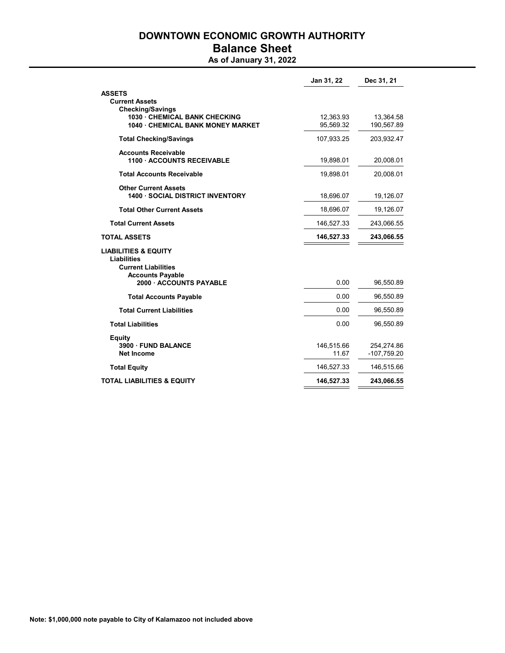## DOWNTOWN ECONOMIC GROWTH AUTHORITY Balance Sheet

## As of January 31, 2022

|                                                                                                                | Jan 31, 22             | Dec 31, 21                  |
|----------------------------------------------------------------------------------------------------------------|------------------------|-----------------------------|
| <b>ASSETS</b><br><b>Current Assets</b>                                                                         |                        |                             |
| <b>Checking/Savings</b><br>1030 CHEMICAL BANK CHECKING<br>1040 · CHEMICAL BANK MONEY MARKET                    | 12,363.93<br>95,569.32 | 13,364.58<br>190,567.89     |
| <b>Total Checking/Savings</b>                                                                                  | 107,933.25             | 203,932.47                  |
| <b>Accounts Receivable</b><br>1100 ACCOUNTS RECEIVABLE                                                         | 19,898.01              | 20,008.01                   |
| <b>Total Accounts Receivable</b>                                                                               | 19,898.01              | 20,008.01                   |
| <b>Other Current Assets</b><br><b>1400 · SOCIAL DISTRICT INVENTORY</b>                                         | 18,696.07              | 19,126.07                   |
| <b>Total Other Current Assets</b>                                                                              | 18,696.07              | 19,126.07                   |
| <b>Total Current Assets</b>                                                                                    | 146,527.33             | 243,066.55                  |
| <b>TOTAL ASSETS</b>                                                                                            | 146,527.33             | 243,066.55                  |
| <b>LIABILITIES &amp; EQUITY</b><br><b>Liabilities</b><br><b>Current Liabilities</b><br><b>Accounts Payable</b> |                        |                             |
| 2000 ACCOUNTS PAYABLE                                                                                          | 0.00                   | 96,550.89                   |
| <b>Total Accounts Payable</b>                                                                                  | 0.00                   | 96,550.89                   |
| <b>Total Current Liabilities</b>                                                                               | 0.00                   | 96,550.89                   |
| <b>Total Liabilities</b>                                                                                       | 0.00                   | 96,550.89                   |
| <b>Equity</b><br>3900 FUND BALANCE<br><b>Net Income</b>                                                        | 146,515.66<br>11.67    | 254,274.86<br>$-107,759.20$ |
| <b>Total Equity</b>                                                                                            | 146,527.33             | 146,515.66                  |
| <b>TOTAL LIABILITIES &amp; EQUITY</b>                                                                          | 146,527.33             | 243,066.55                  |